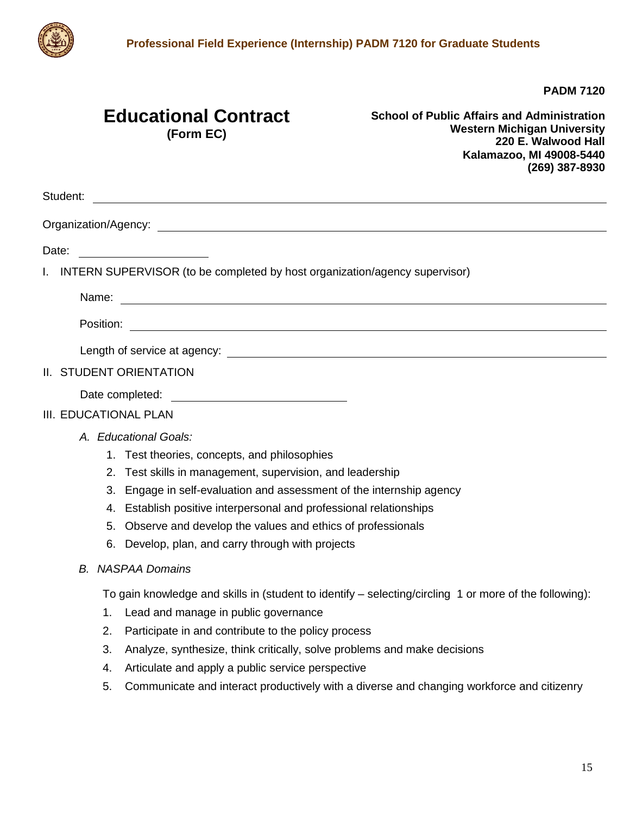

**PADM 7120**

## **Educational Contract (Form EC)**

**School of Public Affairs and Administration Western Michigan University 220 E. Walwood Hall Kalamazoo, MI 49008-5440 (269) 387-8930**

| Student:<br><u> 1980 - Johann Barn, mars ann an t-Amhain Aonaich an t-Aonaich an t-Aonaich an t-Aonaich an t-Aonaich an t-Aon</u> |
|-----------------------------------------------------------------------------------------------------------------------------------|
|                                                                                                                                   |
| Date:                                                                                                                             |
| INTERN SUPERVISOR (to be completed by host organization/agency supervisor)<br>L.                                                  |
| Name: 2008.000 Manual Manual Manual Manual Manual Manual Manual Manual Manual Manual Manual Manual Manual Manu                    |
|                                                                                                                                   |
|                                                                                                                                   |
| II. STUDENT ORIENTATION                                                                                                           |
|                                                                                                                                   |
| III. EDUCATIONAL PLAN                                                                                                             |
| A. Educational Goals:                                                                                                             |
| 1. Test theories, concepts, and philosophies                                                                                      |
| 2. Test skills in management, supervision, and leadership                                                                         |
| 3. Engage in self-evaluation and assessment of the internship agency                                                              |
| 4. Establish positive interpersonal and professional relationships                                                                |
| 5. Observe and develop the values and ethics of professionals                                                                     |
| 6. Develop, plan, and carry through with projects                                                                                 |
| <b>B.</b> NASPAA Domains                                                                                                          |
| To gain knowledge and skills in (student to identify – selecting/circling 1 or more of the following):                            |
| Lead and manage in public governance<br>1.                                                                                        |
| Participate in and contribute to the policy process<br>2.                                                                         |
| 3.<br>Analyze, synthesize, think critically, solve problems and make decisions                                                    |
| Articulate and apply a public service perspective<br>4.                                                                           |
| Communicate and interact productively with a diverse and changing workforce and citizenry<br>5.                                   |
|                                                                                                                                   |
|                                                                                                                                   |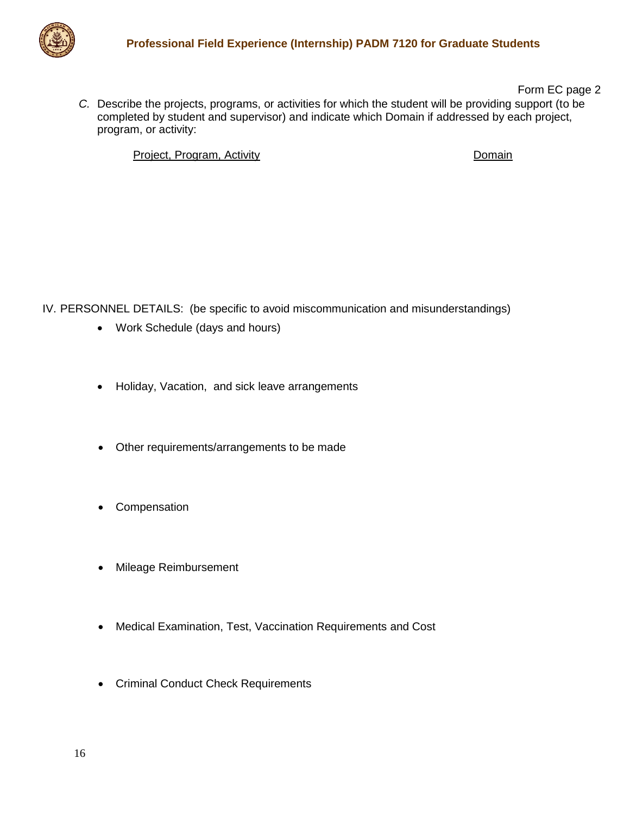

Form EC page 2 *C.* Describe the projects, programs, or activities for which the student will be providing support (to be completed by student and supervisor) and indicate which Domain if addressed by each project, program, or activity:

Project, Program, Activity **Domain** 

IV. PERSONNEL DETAILS: (be specific to avoid miscommunication and misunderstandings)

- Work Schedule (days and hours)
- Holiday, Vacation, and sick leave arrangements
- Other requirements/arrangements to be made
- Compensation
- Mileage Reimbursement
- Medical Examination, Test, Vaccination Requirements and Cost
- Criminal Conduct Check Requirements